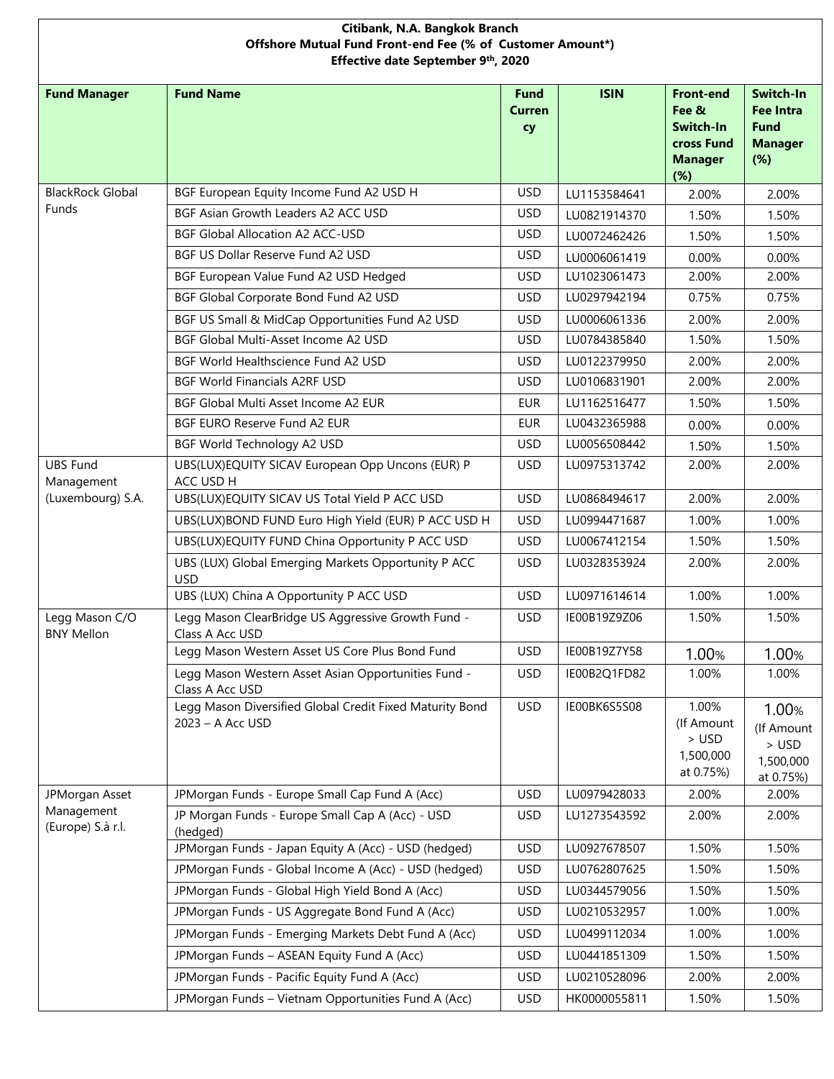| Citibank, N.A. Bangkok Branch<br>Offshore Mutual Fund Front-end Fee (% of Customer Amount*)<br>Effective date September 9th, 2020 |                                                                              |                             |              |                                                                               |                                                                       |  |  |
|-----------------------------------------------------------------------------------------------------------------------------------|------------------------------------------------------------------------------|-----------------------------|--------------|-------------------------------------------------------------------------------|-----------------------------------------------------------------------|--|--|
| <b>Fund Manager</b>                                                                                                               | <b>Fund Name</b>                                                             | <b>Fund</b><br>Curren<br>cy | <b>ISIN</b>  | <b>Front-end</b><br>Fee &<br>Switch-In<br>cross Fund<br><b>Manager</b><br>(%) | Switch-In<br><b>Fee Intra</b><br><b>Fund</b><br><b>Manager</b><br>(%) |  |  |
| <b>BlackRock Global</b>                                                                                                           | BGF European Equity Income Fund A2 USD H                                     | <b>USD</b>                  | LU1153584641 | 2.00%                                                                         | 2.00%                                                                 |  |  |
| <b>Funds</b>                                                                                                                      | BGF Asian Growth Leaders A2 ACC USD                                          | <b>USD</b>                  | LU0821914370 | 1.50%                                                                         | 1.50%                                                                 |  |  |
|                                                                                                                                   | <b>BGF Global Allocation A2 ACC-USD</b>                                      | <b>USD</b>                  | LU0072462426 | 1.50%                                                                         | 1.50%                                                                 |  |  |
|                                                                                                                                   | BGF US Dollar Reserve Fund A2 USD                                            | <b>USD</b>                  | LU0006061419 | 0.00%                                                                         | 0.00%                                                                 |  |  |
|                                                                                                                                   | BGF European Value Fund A2 USD Hedged                                        | <b>USD</b>                  | LU1023061473 | 2.00%                                                                         | 2.00%                                                                 |  |  |
|                                                                                                                                   | BGF Global Corporate Bond Fund A2 USD                                        | <b>USD</b>                  | LU0297942194 | 0.75%                                                                         | 0.75%                                                                 |  |  |
|                                                                                                                                   | BGF US Small & MidCap Opportunities Fund A2 USD                              | USD                         | LU0006061336 | 2.00%                                                                         | 2.00%                                                                 |  |  |
|                                                                                                                                   | BGF Global Multi-Asset Income A2 USD                                         | <b>USD</b>                  | LU0784385840 | 1.50%                                                                         | 1.50%                                                                 |  |  |
|                                                                                                                                   | BGF World Healthscience Fund A2 USD                                          | <b>USD</b>                  | LU0122379950 | 2.00%                                                                         | 2.00%                                                                 |  |  |
|                                                                                                                                   | <b>BGF World Financials A2RF USD</b>                                         | <b>USD</b>                  | LU0106831901 | 2.00%                                                                         | 2.00%                                                                 |  |  |
|                                                                                                                                   | BGF Global Multi Asset Income A2 EUR                                         | <b>EUR</b>                  | LU1162516477 | 1.50%                                                                         | 1.50%                                                                 |  |  |
|                                                                                                                                   | BGF EURO Reserve Fund A2 EUR                                                 | <b>EUR</b>                  | LU0432365988 | 0.00%                                                                         | 0.00%                                                                 |  |  |
|                                                                                                                                   | BGF World Technology A2 USD                                                  | <b>USD</b>                  | LU0056508442 | 1.50%                                                                         | 1.50%                                                                 |  |  |
| <b>UBS Fund</b><br>Management                                                                                                     | UBS(LUX)EQUITY SICAV European Opp Uncons (EUR) P<br>ACC USD H                | <b>USD</b>                  | LU0975313742 | 2.00%                                                                         | 2.00%                                                                 |  |  |
| (Luxembourg) S.A.                                                                                                                 | UBS(LUX)EQUITY SICAV US Total Yield P ACC USD                                | <b>USD</b>                  | LU0868494617 | 2.00%                                                                         | 2.00%                                                                 |  |  |
|                                                                                                                                   | UBS(LUX)BOND FUND Euro High Yield (EUR) P ACC USD H                          | <b>USD</b>                  | LU0994471687 | 1.00%                                                                         | 1.00%                                                                 |  |  |
|                                                                                                                                   | UBS(LUX)EQUITY FUND China Opportunity P ACC USD                              | <b>USD</b>                  | LU0067412154 | 1.50%                                                                         | 1.50%                                                                 |  |  |
|                                                                                                                                   | UBS (LUX) Global Emerging Markets Opportunity P ACC<br><b>USD</b>            | <b>USD</b>                  | LU0328353924 | 2.00%                                                                         | 2.00%                                                                 |  |  |
|                                                                                                                                   | UBS (LUX) China A Opportunity P ACC USD                                      | <b>USD</b>                  | LU0971614614 | 1.00%                                                                         | 1.00%                                                                 |  |  |
| Legg Mason C/O<br><b>BNY Mellon</b>                                                                                               | Legg Mason ClearBridge US Aggressive Growth Fund -<br>Class A Acc USD        | <b>USD</b>                  | IE00B19Z9Z06 | 1.50%                                                                         | 1.50%                                                                 |  |  |
|                                                                                                                                   | Legg Mason Western Asset US Core Plus Bond Fund                              | <b>USD</b>                  | IE00B19Z7Y58 | 1.00%                                                                         | 1.00%                                                                 |  |  |
|                                                                                                                                   | Legg Mason Western Asset Asian Opportunities Fund -<br>Class A Acc USD       | USD                         | IE00B2Q1FD82 | 1.00%                                                                         | 1.00%                                                                 |  |  |
|                                                                                                                                   | Legg Mason Diversified Global Credit Fixed Maturity Bond<br>2023 - A Acc USD | <b>USD</b>                  | IE00BK6S5S08 | 1.00%<br>(If Amount<br>> USD<br>1,500,000<br>at 0.75%)                        | 1.00%<br>(If Amount<br>$>$ USD<br>1,500,000<br>at 0.75%)              |  |  |
| JPMorgan Asset<br>Management<br>(Europe) S.à r.l.                                                                                 | JPMorgan Funds - Europe Small Cap Fund A (Acc)                               | <b>USD</b>                  | LU0979428033 | 2.00%                                                                         | 2.00%                                                                 |  |  |
|                                                                                                                                   | JP Morgan Funds - Europe Small Cap A (Acc) - USD<br>(hedged)                 | <b>USD</b>                  | LU1273543592 | 2.00%                                                                         | 2.00%                                                                 |  |  |
|                                                                                                                                   | JPMorgan Funds - Japan Equity A (Acc) - USD (hedged)                         | <b>USD</b>                  | LU0927678507 | 1.50%                                                                         | 1.50%                                                                 |  |  |
|                                                                                                                                   | JPMorgan Funds - Global Income A (Acc) - USD (hedged)                        | <b>USD</b>                  | LU0762807625 | 1.50%                                                                         | 1.50%                                                                 |  |  |
|                                                                                                                                   | JPMorgan Funds - Global High Yield Bond A (Acc)                              | <b>USD</b>                  | LU0344579056 | 1.50%                                                                         | 1.50%                                                                 |  |  |
|                                                                                                                                   | JPMorgan Funds - US Aggregate Bond Fund A (Acc)                              | USD                         | LU0210532957 | 1.00%                                                                         | 1.00%                                                                 |  |  |
|                                                                                                                                   | JPMorgan Funds - Emerging Markets Debt Fund A (Acc)                          | USD                         | LU0499112034 | 1.00%                                                                         | 1.00%                                                                 |  |  |
|                                                                                                                                   | JPMorgan Funds - ASEAN Equity Fund A (Acc)                                   | <b>USD</b>                  | LU0441851309 | 1.50%                                                                         | 1.50%                                                                 |  |  |
|                                                                                                                                   | JPMorgan Funds - Pacific Equity Fund A (Acc)                                 | USD                         | LU0210528096 | 2.00%                                                                         | 2.00%                                                                 |  |  |
|                                                                                                                                   | JPMorgan Funds - Vietnam Opportunities Fund A (Acc)                          | <b>USD</b>                  | HK0000055811 | 1.50%                                                                         | 1.50%                                                                 |  |  |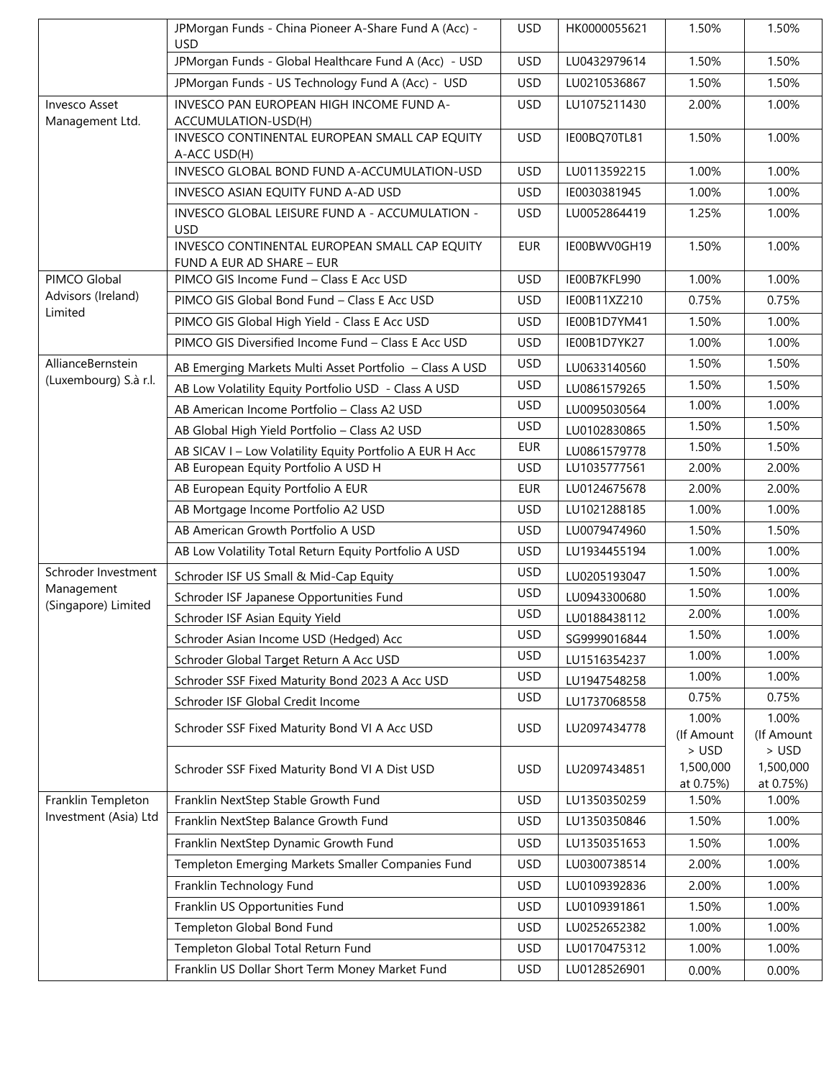|                                             | JPMorgan Funds - China Pioneer A-Share Fund A (Acc) -                      | <b>USD</b> | HK0000055621 | 1.50%                           | 1.50%                           |
|---------------------------------------------|----------------------------------------------------------------------------|------------|--------------|---------------------------------|---------------------------------|
|                                             | <b>USD</b><br>JPMorgan Funds - Global Healthcare Fund A (Acc) - USD        | <b>USD</b> | LU0432979614 | 1.50%                           | 1.50%                           |
|                                             | JPMorgan Funds - US Technology Fund A (Acc) - USD                          | <b>USD</b> | LU0210536867 | 1.50%                           | 1.50%                           |
| <b>Invesco Asset</b><br>Management Ltd.     | INVESCO PAN EUROPEAN HIGH INCOME FUND A-<br>ACCUMULATION-USD(H)            | <b>USD</b> | LU1075211430 | 2.00%                           | 1.00%                           |
|                                             | INVESCO CONTINENTAL EUROPEAN SMALL CAP EQUITY<br>A-ACC USD(H)              | <b>USD</b> | IE00BQ70TL81 | 1.50%                           | 1.00%                           |
|                                             | INVESCO GLOBAL BOND FUND A-ACCUMULATION-USD                                | <b>USD</b> | LU0113592215 | 1.00%                           | 1.00%                           |
|                                             | INVESCO ASIAN EQUITY FUND A-AD USD                                         | <b>USD</b> | IE0030381945 | 1.00%                           | 1.00%                           |
|                                             | INVESCO GLOBAL LEISURE FUND A - ACCUMULATION -<br><b>USD</b>               | <b>USD</b> | LU0052864419 | 1.25%                           | 1.00%                           |
|                                             | INVESCO CONTINENTAL EUROPEAN SMALL CAP EQUITY<br>FUND A EUR AD SHARE - EUR | <b>EUR</b> | IE00BWV0GH19 | 1.50%                           | 1.00%                           |
| PIMCO Global                                | PIMCO GIS Income Fund - Class E Acc USD                                    | <b>USD</b> | IE00B7KFL990 | 1.00%                           | 1.00%                           |
| Advisors (Ireland)                          | PIMCO GIS Global Bond Fund - Class E Acc USD                               | USD        | IE00B11XZ210 | 0.75%                           | 0.75%                           |
| Limited                                     | PIMCO GIS Global High Yield - Class E Acc USD                              | <b>USD</b> | IE00B1D7YM41 | 1.50%                           | 1.00%                           |
|                                             | PIMCO GIS Diversified Income Fund - Class E Acc USD                        | <b>USD</b> | IE00B1D7YK27 | 1.00%                           | 1.00%                           |
| AllianceBernstein                           | AB Emerging Markets Multi Asset Portfolio - Class A USD                    | <b>USD</b> | LU0633140560 | 1.50%                           | 1.50%                           |
| (Luxembourg) S.à r.l.                       | AB Low Volatility Equity Portfolio USD - Class A USD                       | <b>USD</b> | LU0861579265 | 1.50%                           | 1.50%                           |
|                                             | AB American Income Portfolio - Class A2 USD                                | <b>USD</b> | LU0095030564 | 1.00%                           | 1.00%                           |
|                                             | AB Global High Yield Portfolio - Class A2 USD                              | <b>USD</b> | LU0102830865 | 1.50%                           | 1.50%                           |
|                                             | AB SICAV I - Low Volatility Equity Portfolio A EUR H Acc                   | <b>EUR</b> | LU0861579778 | 1.50%                           | 1.50%                           |
|                                             | AB European Equity Portfolio A USD H                                       | <b>USD</b> | LU1035777561 | 2.00%                           | 2.00%                           |
|                                             | AB European Equity Portfolio A EUR                                         | <b>EUR</b> | LU0124675678 | 2.00%                           | 2.00%                           |
|                                             | AB Mortgage Income Portfolio A2 USD                                        | <b>USD</b> | LU1021288185 | 1.00%                           | 1.00%                           |
|                                             | AB American Growth Portfolio A USD                                         | <b>USD</b> | LU0079474960 | 1.50%                           | 1.50%                           |
|                                             | AB Low Volatility Total Return Equity Portfolio A USD                      | <b>USD</b> | LU1934455194 | 1.00%                           | 1.00%                           |
| Schroder Investment                         | Schroder ISF US Small & Mid-Cap Equity                                     | <b>USD</b> | LU0205193047 | 1.50%                           | 1.00%                           |
| Management<br>(Singapore) Limited           | Schroder ISF Japanese Opportunities Fund                                   | <b>USD</b> | LU0943300680 | 1.50%                           | 1.00%                           |
|                                             | Schroder ISF Asian Equity Yield                                            | <b>USD</b> | LU0188438112 | 2.00%                           | 1.00%                           |
|                                             | Schroder Asian Income USD (Hedged) Acc                                     | <b>USD</b> | SG9999016844 | 1.50%                           | 1.00%                           |
|                                             | Schroder Global Target Return A Acc USD                                    | <b>USD</b> | LU1516354237 | 1.00%                           | 1.00%                           |
|                                             | Schroder SSF Fixed Maturity Bond 2023 A Acc USD                            | <b>USD</b> | LU1947548258 | 1.00%                           | 1.00%                           |
|                                             | Schroder ISF Global Credit Income                                          | <b>USD</b> | LU1737068558 | 0.75%                           | 0.75%                           |
|                                             | Schroder SSF Fixed Maturity Bond VI A Acc USD                              | <b>USD</b> | LU2097434778 | 1.00%<br>(If Amount             | 1.00%<br>(If Amount             |
|                                             | Schroder SSF Fixed Maturity Bond VI A Dist USD                             | <b>USD</b> | LU2097434851 | > USD<br>1,500,000<br>at 0.75%) | > USD<br>1,500,000<br>at 0.75%) |
| Franklin Templeton<br>Investment (Asia) Ltd | Franklin NextStep Stable Growth Fund                                       | <b>USD</b> | LU1350350259 | 1.50%                           | 1.00%                           |
|                                             | Franklin NextStep Balance Growth Fund                                      | <b>USD</b> | LU1350350846 | 1.50%                           | 1.00%                           |
|                                             | Franklin NextStep Dynamic Growth Fund                                      | <b>USD</b> | LU1350351653 | 1.50%                           | 1.00%                           |
|                                             | Templeton Emerging Markets Smaller Companies Fund                          | <b>USD</b> | LU0300738514 | 2.00%                           | 1.00%                           |
|                                             | Franklin Technology Fund                                                   | <b>USD</b> | LU0109392836 | 2.00%                           | 1.00%                           |
|                                             | Franklin US Opportunities Fund                                             | <b>USD</b> | LU0109391861 | 1.50%                           | 1.00%                           |
|                                             | Templeton Global Bond Fund                                                 | <b>USD</b> | LU0252652382 | 1.00%                           | 1.00%                           |
|                                             | Templeton Global Total Return Fund                                         | <b>USD</b> | LU0170475312 | 1.00%                           | 1.00%                           |
|                                             | Franklin US Dollar Short Term Money Market Fund                            | <b>USD</b> | LU0128526901 | 0.00%                           | 0.00%                           |